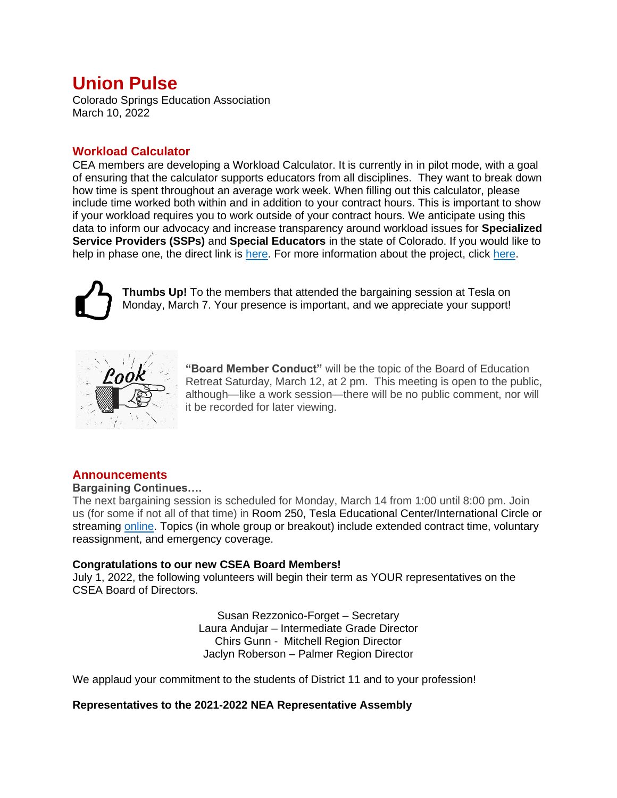# **Union Pulse**

Colorado Springs Education Association March 10, 2022

# **Workload Calculator**

CEA members are developing a Workload Calculator. It is currently in in pilot mode, with a goal of ensuring that the calculator supports educators from all disciplines. They want to break down how time is spent throughout an average work week. When filling out this calculator, please include time worked both within and in addition to your contract hours. This is important to show if your workload requires you to work outside of your contract hours. We anticipate using this data to inform our advocacy and increase transparency around workload issues for **Specialized Service Providers (SSPs)** and **Special Educators** in the state of Colorado. If you would like to help in phase one, the direct link is [here.](https://tinyurl.com/CO-Ed-ACCESS) For more information about the project, click [here.](https://tinyurl.com/CEA-workload-calculator-deck)



**Thumbs Up!** To the members that attended the bargaining session at Tesla on Monday, March 7. Your presence is important, and we appreciate your support!



**"Board Member Conduct"** will be the topic of the Board of Education Retreat Saturday, March 12, at 2 pm. This meeting is open to the public, although—like a work session—there will be no public comment, nor will it be recorded for later viewing.

## **Announcements**

## **Bargaining Continues….**

The next bargaining session is scheduled for Monday, March 14 from 1:00 until 8:00 pm. Join us (for some if not all of that time) in Room 250, Tesla Educational Center/International Circle or streaming [online.](https://www.d11.org/Page/1755) Topics (in whole group or breakout) include extended contract time, voluntary reassignment, and emergency coverage.

## **Congratulations to our new CSEA Board Members!**

July 1, 2022, the following volunteers will begin their term as YOUR representatives on the CSEA Board of Directors.

> Susan Rezzonico-Forget – Secretary Laura Andujar – Intermediate Grade Director Chirs Gunn - Mitchell Region Director Jaclyn Roberson – Palmer Region Director

We applaud your commitment to the students of District 11 and to your profession!

## **Representatives to the 2021-2022 NEA Representative Assembly**